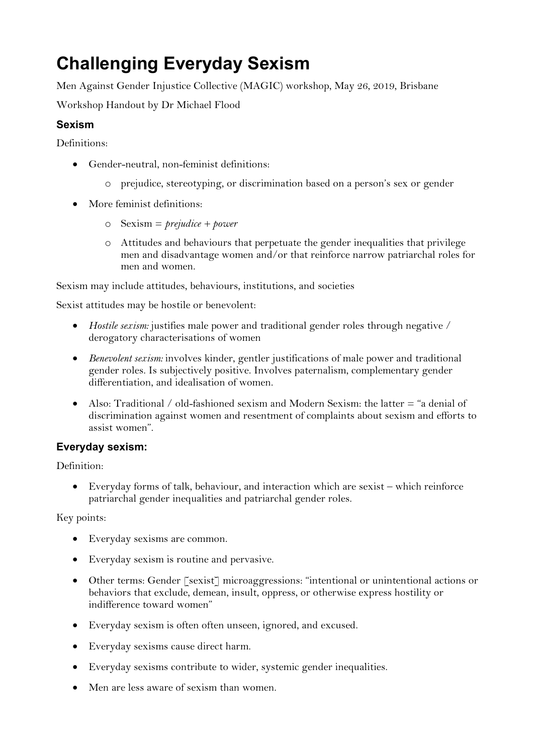# **Challenging Everyday Sexism**

Men Against Gender Injustice Collective (MAGIC) workshop, May 26, 2019, Brisbane

Workshop Handout by Dr Michael Flood

# **Sexism**

Definitions:

- Gender-neutral, non-feminist definitions:
	- o prejudice, stereotyping, or discrimination based on a person's sex or gender
- More feminist definitions:
	- o Sexism = *prejudice + power*
	- o Attitudes and behaviours that perpetuate the gender inequalities that privilege men and disadvantage women and/or that reinforce narrow patriarchal roles for men and women.

Sexism may include attitudes, behaviours, institutions, and societies

Sexist attitudes may be hostile or benevolent:

- *Hostile sexism:* justifies male power and traditional gender roles through negative / derogatory characterisations of women
- *Benevolent sexism:* involves kinder, gentler justifications of male power and traditional gender roles. Is subjectively positive. Involves paternalism, complementary gender differentiation, and idealisation of women.
- Also: Traditional / old-fashioned sexism and Modern Sexism: the latter = "a denial of discrimination against women and resentment of complaints about sexism and efforts to assist women".

## **Everyday sexism:**

Definition:

• Everyday forms of talk, behaviour, and interaction which are sexist – which reinforce patriarchal gender inequalities and patriarchal gender roles.

Key points:

- Everyday sexisms are common.
- Everyday sexism is routine and pervasive.
- Other terms: Gender [sexist] microaggressions: "intentional or unintentional actions or behaviors that exclude, demean, insult, oppress, or otherwise express hostility or indifference toward women"
- Everyday sexism is often often unseen, ignored, and excused.
- Everyday sexisms cause direct harm.
- Everyday sexisms contribute to wider, systemic gender inequalities.
- Men are less aware of sexism than women.